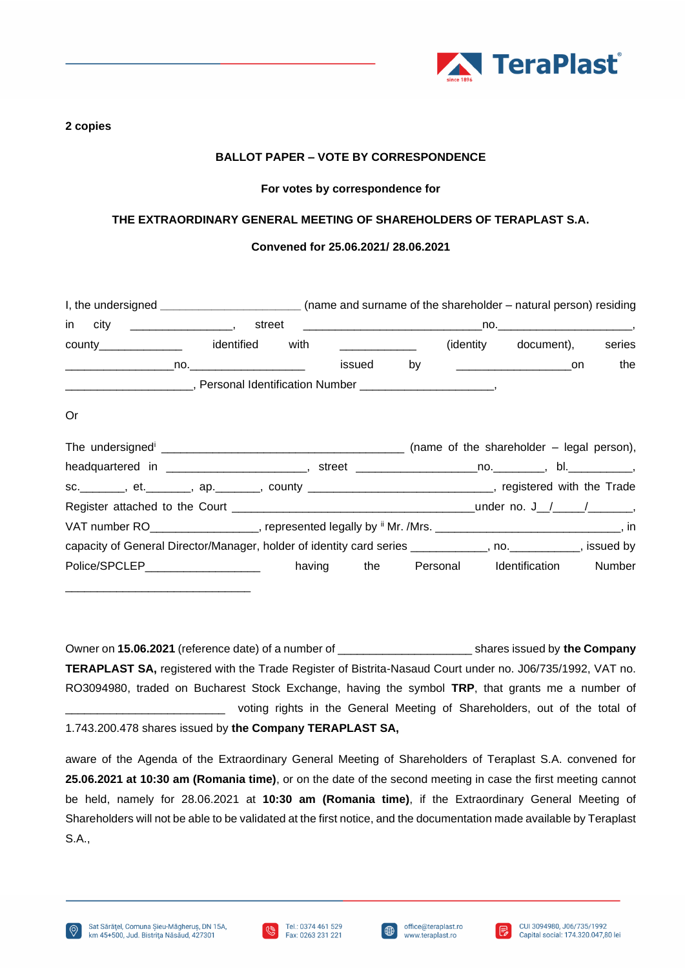

### **2 copies**

# **BALLOT PAPER – VOTE BY CORRESPONDENCE**

### **For votes by correspondence for**

## **THE EXTRAORDINARY GENERAL MEETING OF SHAREHOLDERS OF TERAPLAST S.A.**

### **Convened for 25.06.2021/ 28.06.2021**

|    | I, the undersigned _________________________(name and surname of the shareholder – natural person) residing        |  |  |                                           |     |
|----|--------------------------------------------------------------------------------------------------------------------|--|--|-------------------------------------------|-----|
|    |                                                                                                                    |  |  |                                           |     |
|    | county________________ identified with _____________                                                               |  |  | (identity document), series               |     |
|    |                                                                                                                    |  |  |                                           | the |
|    |                                                                                                                    |  |  |                                           |     |
| 0r |                                                                                                                    |  |  |                                           |     |
|    |                                                                                                                    |  |  |                                           |     |
|    |                                                                                                                    |  |  |                                           |     |
|    | sc.________, et.________, ap._______, county _______________________________, registered with the Trade            |  |  |                                           |     |
|    |                                                                                                                    |  |  |                                           |     |
|    | VAT number RO___________________, represented legally by $\mathbb{I}$ Mr. /Mrs. ______________________________, in |  |  |                                           |     |
|    | capacity of General Director/Manager, holder of identity card series ___________, no. __________, issued by        |  |  |                                           |     |
|    | Police/SPCLEP___________________                                                                                   |  |  | having the Personal Identification Number |     |

Owner on **15.06.2021** (reference date) of a number of \_\_\_\_\_\_\_\_\_\_\_\_\_\_\_\_\_\_\_\_\_ shares issued by **the Company TERAPLAST SA,** registered with the Trade Register of Bistrita-Nasaud Court under no. J06/735/1992, VAT no. RO3094980, traded on Bucharest Stock Exchange, having the symbol **TRP**, that grants me a number of voting rights in the General Meeting of Shareholders, out of the total of 1.743.200.478 shares issued by **the Company TERAPLAST SA,**

aware of the Agenda of the Extraordinary General Meeting of Shareholders of Teraplast S.A. convened for **25.06.2021 at 10:30 am (Romania time)**, or on the date of the second meeting in case the first meeting cannot be held, namely for 28.06.2021 at **10:30 am (Romania time)**, if the Extraordinary General Meeting of Shareholders will not be able to be validated at the first notice, and the documentation made available by Teraplast S.A.,

\_\_\_\_\_\_\_\_\_\_\_\_\_\_\_\_\_\_\_\_\_\_\_\_\_\_\_\_\_





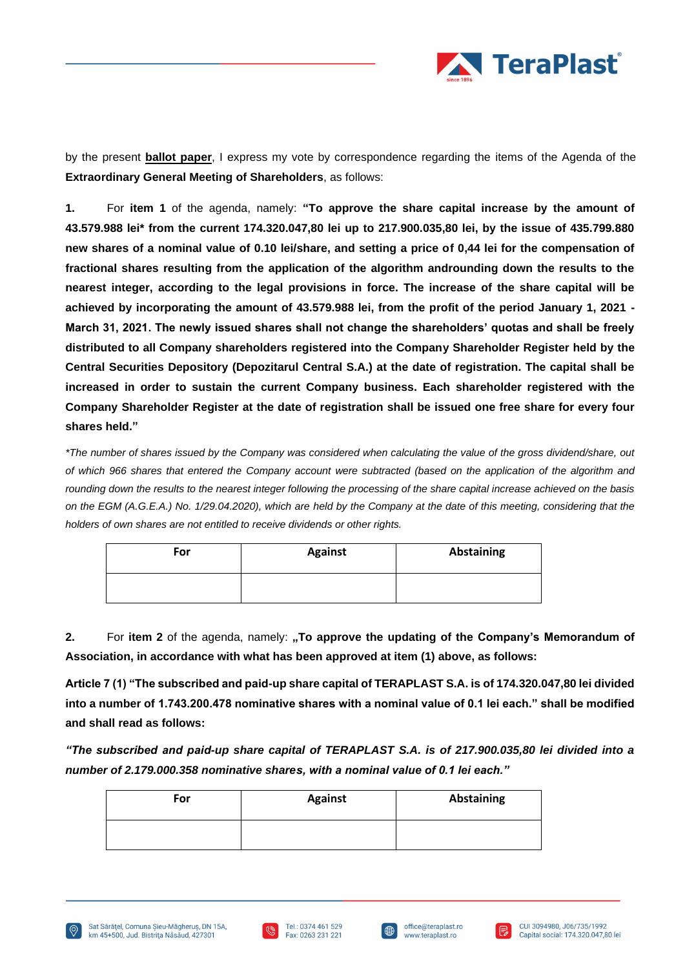

by the present **ballot paper**, I express my vote by correspondence regarding the items of the Agenda of the **Extraordinary General Meeting of Shareholders**, as follows:

**1.** For **item 1** of the agenda, namely: **"To approve the share capital increase by the amount of 43.579.988 lei\* from the current 174.320.047,80 lei up to 217.900.035,80 lei, by the issue of 435.799.880 new shares of a nominal value of 0.10 lei/share, and setting a price of 0,44 lei for the compensation of fractional shares resulting from the application of the algorithm androunding down the results to the nearest integer, according to the legal provisions in force. The increase of the share capital will be achieved by incorporating the amount of 43.579.988 lei, from the profit of the period January 1, 2021 - March 31, 2021. The newly issued shares shall not change the shareholders' quotas and shall be freely distributed to all Company shareholders registered into the Company Shareholder Register held by the Central Securities Depository (Depozitarul Central S.A.) at the date of registration. The capital shall be increased in order to sustain the current Company business. Each shareholder registered with the Company Shareholder Register at the date of registration shall be issued one free share for every four shares held."**

*\*The number of shares issued by the Company was considered when calculating the value of the gross dividend/share, out of which 966 shares that entered the Company account were subtracted (based on the application of the algorithm and rounding down the results to the nearest integer following the processing of the share capital increase achieved on the basis on the EGM (A.G.E.A.) No. 1/29.04.2020), which are held by the Company at the date of this meeting, considering that the holders of own shares are not entitled to receive dividends or other rights.*

| For | <b>Against</b> | Abstaining |
|-----|----------------|------------|
|     |                |            |

**2.** For **item 2** of the agenda, namely: **,,To approve the updating of the Company's Memorandum of Association, in accordance with what has been approved at item (1) above, as follows:**

**Article 7 (1) "The subscribed and paid-up share capital of TERAPLAST S.A. is of 174.320.047,80 lei divided into a number of 1.743.200.478 nominative shares with a nominal value of 0.1 lei each." shall be modified and shall read as follows:**

*"The subscribed and paid-up share capital of TERAPLAST S.A. is of 217.900.035,80 lei divided into a number of 2.179.000.358 nominative shares, with a nominal value of 0.1 lei each."*

| For | <b>Against</b> | Abstaining |
|-----|----------------|------------|
|     |                |            |







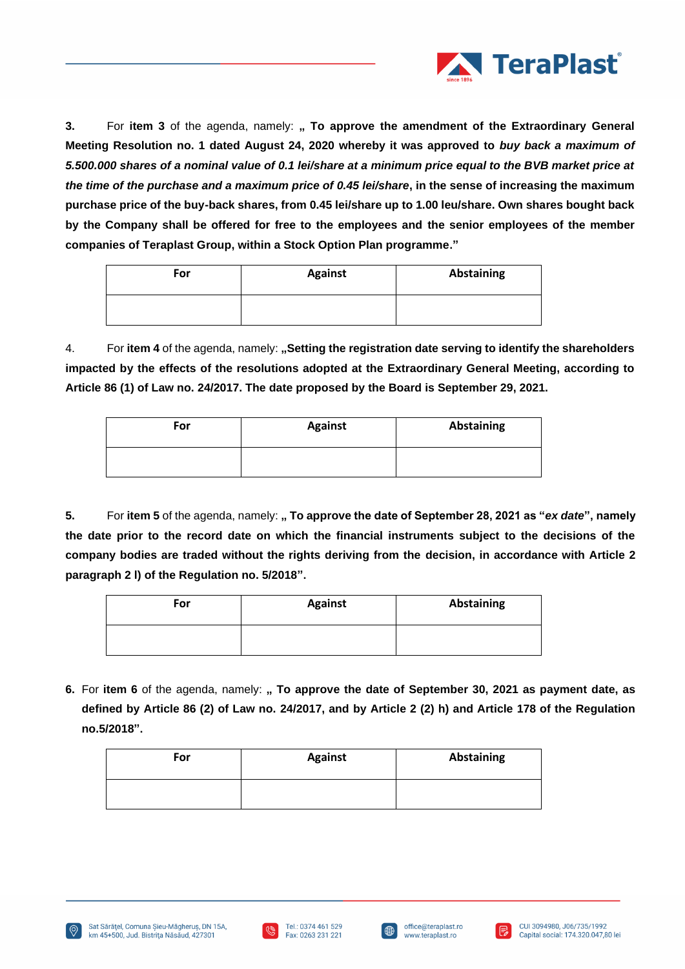

**3.** For item 3 of the agenda, namely: **, To approve the amendment of the Extraordinary General Meeting Resolution no. 1 dated August 24, 2020 whereby it was approved to** *buy back a maximum of 5.500.000 shares of a nominal value of 0.1 lei/share at a minimum price equal to the BVB market price at the time of the purchase and a maximum price of 0.45 lei/share***, in the sense of increasing the maximum purchase price of the buy-back shares, from 0.45 lei/share up to 1.00 leu/share. Own shares bought back by the Company shall be offered for free to the employees and the senior employees of the member companies of Teraplast Group, within a Stock Option Plan programme."**

| For | <b>Against</b> | <b>Abstaining</b> |
|-----|----------------|-------------------|
|     |                |                   |

4. For **item 4** of the agenda, namely: **"Setting the registration date serving to identify the shareholders impacted by the effects of the resolutions adopted at the Extraordinary General Meeting, according to Article 86 (1) of Law no. 24/2017. The date proposed by the Board is September 29, 2021.**

| For | <b>Against</b> | <b>Abstaining</b> |
|-----|----------------|-------------------|
|     |                |                   |

**5.** For **item 5** of the agenda, namely: **" To approve the date of September 28, 2021 as "***ex date***", namely the date prior to the record date on which the financial instruments subject to the decisions of the company bodies are traded without the rights deriving from the decision, in accordance with Article 2 paragraph 2 l) of the Regulation no. 5/2018".**

| For | <b>Against</b> | Abstaining |
|-----|----------------|------------|
|     |                |            |

**6.** For item 6 of the agenda, namely: " To approve the date of September 30, 2021 as payment date, as **defined by Article 86 (2) of Law no. 24/2017, and by Article 2 (2) h) and Article 178 of the Regulation no.5/2018".**

| For | <b>Against</b> | <b>Abstaining</b> |
|-----|----------------|-------------------|
|     |                |                   |





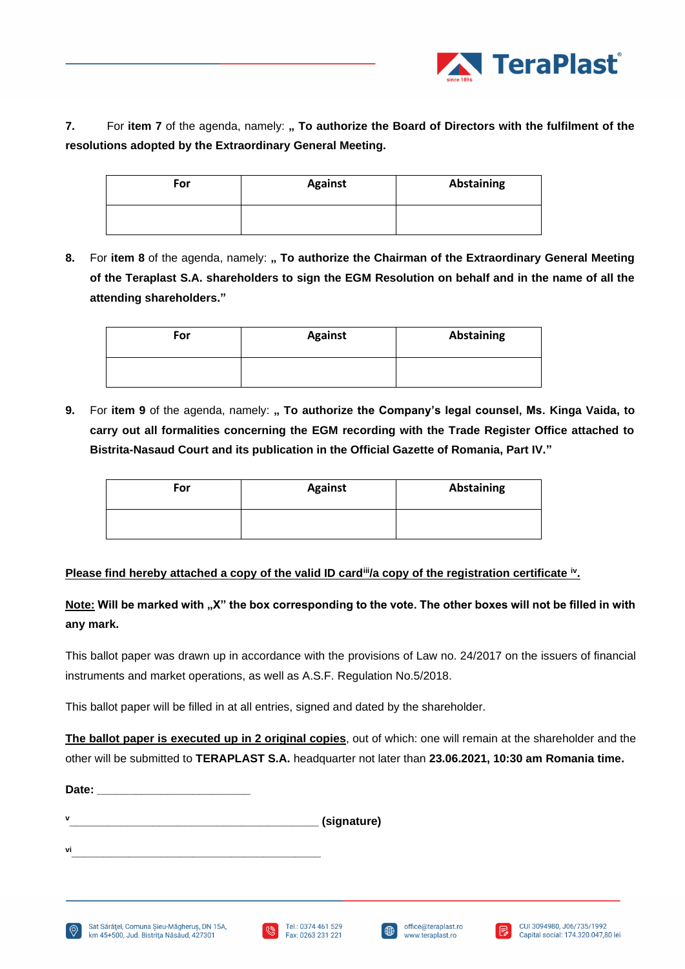

**7.** For **item 7** of the agenda, namely: **" To authorize the Board of Directors with the fulfilment of the resolutions adopted by the Extraordinary General Meeting.**

| For | <b>Against</b> | Abstaining |
|-----|----------------|------------|
|     |                |            |

**8.** For item 8 of the agenda, namely: " To authorize the Chairman of the Extraordinary General Meeting **of the Teraplast S.A. shareholders to sign the EGM Resolution on behalf and in the name of all the attending shareholders."**

| For | <b>Against</b> | Abstaining |
|-----|----------------|------------|
|     |                |            |

**9.** For item 9 of the agenda, namely: **, To authorize the Company's legal counsel, Ms. Kinga Vaida, to carry out all formalities concerning the EGM recording with the Trade Register Office attached to Bistrita-Nasaud Court and its publication in the Official Gazette of Romania, Part IV."**

| For | <b>Against</b> | Abstaining |
|-----|----------------|------------|
|     |                |            |

# **Please find hereby attached a copy of the valid ID card<sup>iii</sup>/a copy of the registration certificate <sup>iv</sup>.**

Note: Will be marked with "X" the box corresponding to the vote. The other boxes will not be filled in with **any mark.** 

This ballot paper was drawn up in accordance with the provisions of Law no. 24/2017 on the issuers of financial instruments and market operations, as well as A.S.F. Regulation No.5/2018.

This ballot paper will be filled in at all entries, signed and dated by the shareholder.

**The ballot paper is executed up in 2 original copies**, out of which: one will remain at the shareholder and the other will be submitted to **TERAPLAST S.A.** headquarter not later than **23.06.2021, 10:30 am Romania time.** 

**<sup>v</sup>\_\_\_\_\_\_\_\_\_\_\_\_\_\_\_\_\_\_\_\_\_\_\_\_\_\_\_\_\_\_\_\_\_\_\_\_\_\_\_ (signature)**



Date:





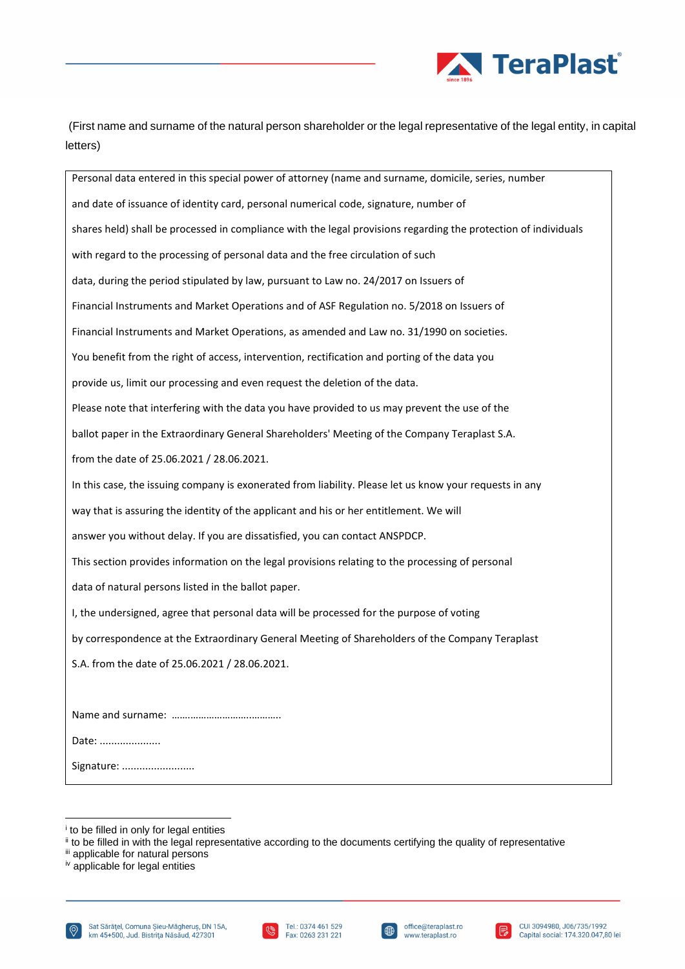

(First name and surname of the natural person shareholder or the legal representative of the legal entity, in capital letters)

Personal data entered in this special power of attorney (name and surname, domicile, series, number and date of issuance of identity card, personal numerical code, signature, number of shares held) shall be processed in compliance with the legal provisions regarding the protection of individuals with regard to the processing of personal data and the free circulation of such data, during the period stipulated by law, pursuant to Law no. 24/2017 on Issuers of Financial Instruments and Market Operations and of ASF Regulation no. 5/2018 on Issuers of Financial Instruments and Market Operations, as amended and Law no. 31/1990 on societies. You benefit from the right of access, intervention, rectification and porting of the data you provide us, limit our processing and even request the deletion of the data. Please note that interfering with the data you have provided to us may prevent the use of the ballot paper in the Extraordinary General Shareholders' Meeting of the Company Teraplast S.A. from the date of 25.06.2021 / 28.06.2021. In this case, the issuing company is exonerated from liability. Please let us know your requests in any way that is assuring the identity of the applicant and his or her entitlement. We will answer you without delay. If you are dissatisfied, you can contact ANSPDCP. This section provides information on the legal provisions relating to the processing of personal data of natural persons listed in the ballot paper. I, the undersigned, agree that personal data will be processed for the purpose of voting by correspondence at the Extraordinary General Meeting of Shareholders of the Company Teraplast S.A. from the date of 25.06.2021 / 28.06.2021. Name and surname: …….…………………..……….. Date: ..................... Signature: .........................







i to be filled in only for legal entities

ii to be filled in with the legal representative according to the documents certifying the quality of representative

iii applicable for natural persons

 $iv$  applicable for legal entities